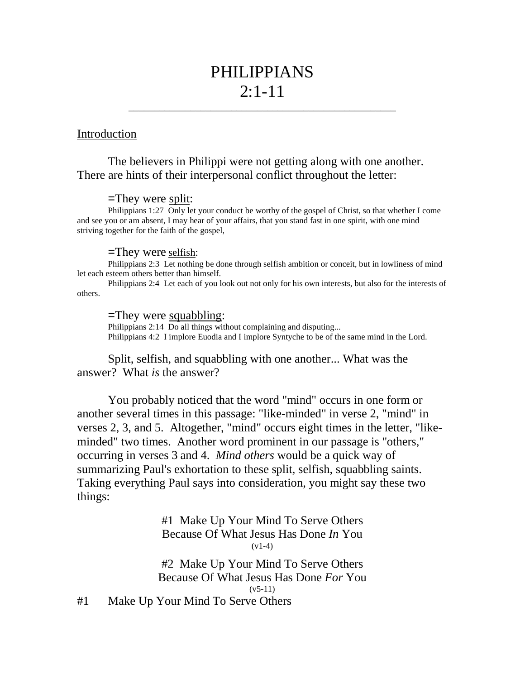# PHILIPPIANS  $2:1 - 11$

\_\_\_\_\_\_\_\_\_\_\_\_\_\_\_\_\_\_\_\_\_\_\_\_\_\_\_\_\_\_\_\_\_\_\_\_\_\_\_\_\_\_\_\_\_\_\_\_\_\_\_\_

## Introduction

# The believers in Philippi were not getting along with one another. There are hints of their interpersonal conflict throughout the letter:

#### =They were split:

Philippians 1:27 Only let your conduct be worthy of the gospel of Christ, so that whether I come and see you or am absent, I may hear of your affairs, that you stand fast in one spirit, with one mind striving together for the faith of the gospel,

#### =They were selfish:

Philippians 2:3 Let nothing be done through selfish ambition or conceit, but in lowliness of mind let each esteem others better than himself.

Philippians 2:4 Let each of you look out not only for his own interests, but also for the interests of others.

### =They were squabbling:

Philippians 2:14 Do all things without complaining and disputing... Philippians 4:2 I implore Euodia and I implore Syntyche to be of the same mind in the Lord.

Split, selfish, and squabbling with one another... What was the answer? What *is* the answer?

You probably noticed that the word "mind" occurs in one form or another several times in this passage: "like-minded" in verse 2, "mind" in verses 2, 3, and 5. Altogether, "mind" occurs eight times in the letter, "likeminded" two times. Another word prominent in our passage is "others," occurring in verses 3 and 4. *Mind others* would be a quick way of summarizing Paul's exhortation to these split, selfish, squabbling saints. Taking everything Paul says into consideration, you might say these two things:

> #1 Make Up Your Mind To Serve Others Because Of What Jesus Has Done *In* You  $(v1-4)$

#2 Make Up Your Mind To Serve Others Because Of What Jesus Has Done *For* You  $(v5-11)$ 

#1 Make Up Your Mind To Serve Others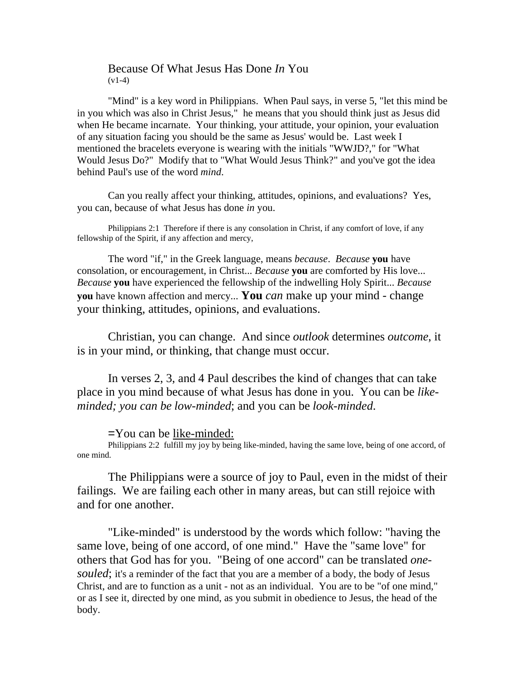## Because Of What Jesus Has Done *In* You  $(v1-4)$

"Mind" is a key word in Philippians. When Paul says, in verse 5, "let this mind be in you which was also in Christ Jesus," he means that you should think just as Jesus did when He became incarnate. Your thinking, your attitude, your opinion, your evaluation of any situation facing you should be the same as Jesus' would be. Last week I mentioned the bracelets everyone is wearing with the initials "WWJD?," for "What Would Jesus Do?" Modify that to "What Would Jesus Think?" and you've got the idea behind Paul's use of the word *mind*.

Can you really affect your thinking, attitudes, opinions, and evaluations? Yes, you can, because of what Jesus has done *in* you.

Philippians 2:1 Therefore if there is any consolation in Christ, if any comfort of love, if any fellowship of the Spirit, if any affection and mercy,

The word "if," in the Greek language, means *because*. *Because* **you** have consolation, or encouragement, in Christ... *Because* **you** are comforted by His love... *Because* **you** have experienced the fellowship of the indwelling Holy Spirit... *Because* **you** have known affection and mercy... **You** *can* make up your mind - change your thinking, attitudes, opinions, and evaluations.

Christian, you can change. And since *outlook* determines *outcome*, it is in your mind, or thinking, that change must occur.

In verses 2, 3, and 4 Paul describes the kind of changes that can take place in you mind because of what Jesus has done in you. You can be *likeminded; you can be low-minded*; and you can be *look-minded*.

=You can be like-minded:

Philippians 2:2 fulfill my joy by being like-minded, having the same love, being of one accord, of one mind.

The Philippians were a source of joy to Paul, even in the midst of their failings. We are failing each other in many areas, but can still rejoice with and for one another.

"Like-minded" is understood by the words which follow: "having the same love, being of one accord, of one mind." Have the "same love" for others that God has for you. "Being of one accord" can be translated *onesouled*; it's a reminder of the fact that you are a member of a body, the body of Jesus Christ, and are to function as a unit - not as an individual. You are to be "of one mind," or as I see it, directed by one mind, as you submit in obedience to Jesus, the head of the body.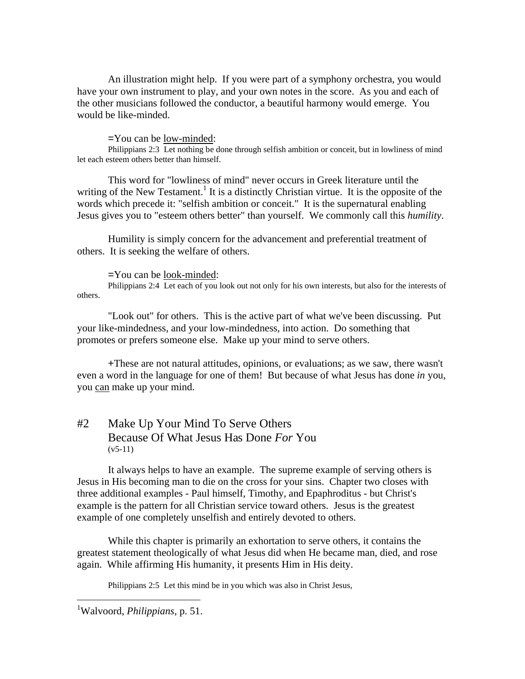An illustration might help. If you were part of a symphony orchestra, you would have your own instrument to play, and your own notes in the score. As you and each of the other musicians followed the conductor, a beautiful harmony would emerge. You would be like-minded.

=You can be low-minded:

Philippians 2:3 Let nothing be done through selfish ambition or conceit, but in lowliness of mind let each esteem others better than himself.

This word for "lowliness of mind" never occurs in Greek literature until the writing of the New Testament.<sup>1</sup> It is a distinctly Christian virtue. It is the opposite of the words which precede it: "selfish ambition or conceit." It is the supernatural enabling Jesus gives you to "esteem others better" than yourself. We commonly call this *humility*.

Humility is simply concern for the advancement and preferential treatment of others. It is seeking the welfare of others.

=You can be look-minded:

Philippians 2:4 Let each of you look out not only for his own interests, but also for the interests of others.

"Look out" for others. This is the active part of what we've been discussing. Put your like-mindedness, and your low-mindedness, into action. Do something that promotes or prefers someone else. Make up your mind to serve others.

+These are not natural attitudes, opinions, or evaluations; as we saw, there wasn't even a word in the language for one of them! But because of what Jesus has done *in* you, you can make up your mind.

# #2 Make Up Your Mind To Serve Others Because Of What Jesus Has Done *For* You  $(v5-11)$

It always helps to have an example. The supreme example of serving others is Jesus in His becoming man to die on the cross for your sins. Chapter two closes with three additional examples - Paul himself, Timothy, and Epaphroditus - but Christ's example is the pattern for all Christian service toward others. Jesus is the greatest example of one completely unselfish and entirely devoted to others.

While this chapter is primarily an exhortation to serve others, it contains the greatest statement theologically of what Jesus did when He became man, died, and rose again. While affirming His humanity, it presents Him in His deity.

Philippians 2:5 Let this mind be in you which was also in Christ Jesus,

1 Walvoord, *Philippians*, p. 51.

l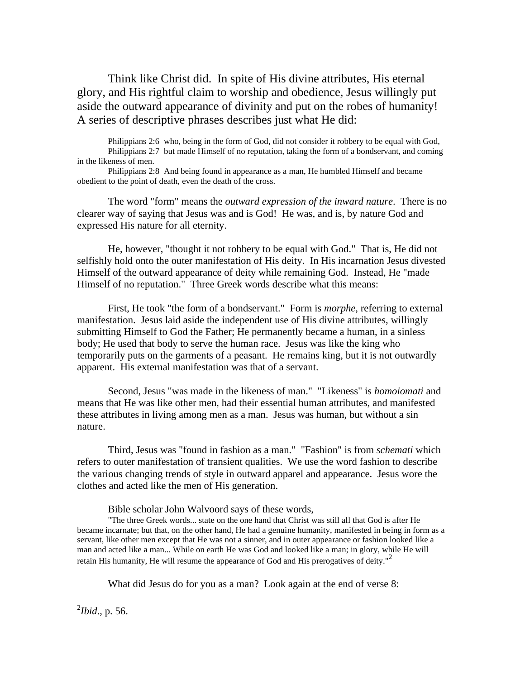Think like Christ did. In spite of His divine attributes, His eternal glory, and His rightful claim to worship and obedience, Jesus willingly put aside the outward appearance of divinity and put on the robes of humanity! A series of descriptive phrases describes just what He did:

Philippians 2:6 who, being in the form of God, did not consider it robbery to be equal with God, Philippians 2:7 but made Himself of no reputation, taking the form of a bondservant, and coming in the likeness of men.

Philippians 2:8 And being found in appearance as a man, He humbled Himself and became obedient to the point of death, even the death of the cross.

The word "form" means the *outward expression of the inward nature*. There is no clearer way of saying that Jesus was and is God! He was, and is, by nature God and expressed His nature for all eternity.

He, however, "thought it not robbery to be equal with God." That is, He did not selfishly hold onto the outer manifestation of His deity. In His incarnation Jesus divested Himself of the outward appearance of deity while remaining God. Instead, He "made Himself of no reputation." Three Greek words describe what this means:

First, He took "the form of a bondservant." Form is *morphe*, referring to external manifestation. Jesus laid aside the independent use of His divine attributes, willingly submitting Himself to God the Father; He permanently became a human, in a sinless body; He used that body to serve the human race. Jesus was like the king who temporarily puts on the garments of a peasant. He remains king, but it is not outwardly apparent. His external manifestation was that of a servant.

Second, Jesus "was made in the likeness of man." "Likeness" is *homoiomati* and means that He was like other men, had their essential human attributes, and manifested these attributes in living among men as a man. Jesus was human, but without a sin nature.

Third, Jesus was "found in fashion as a man." "Fashion" is from *schemati* which refers to outer manifestation of transient qualities. We use the word fashion to describe the various changing trends of style in outward apparel and appearance. Jesus wore the clothes and acted like the men of His generation.

Bible scholar John Walvoord says of these words,

"The three Greek words... state on the one hand that Christ was still all that God is after He became incarnate; but that, on the other hand, He had a genuine humanity, manifested in being in form as a servant, like other men except that He was not a sinner, and in outer appearance or fashion looked like a man and acted like a man... While on earth He was God and looked like a man; in glory, while He will retain His humanity, He will resume the appearance of God and His prerogatives of deity. $^{2}$ 

What did Jesus do for you as a man? Look again at the end of verse 8:

2 *Ibid*., p. 56.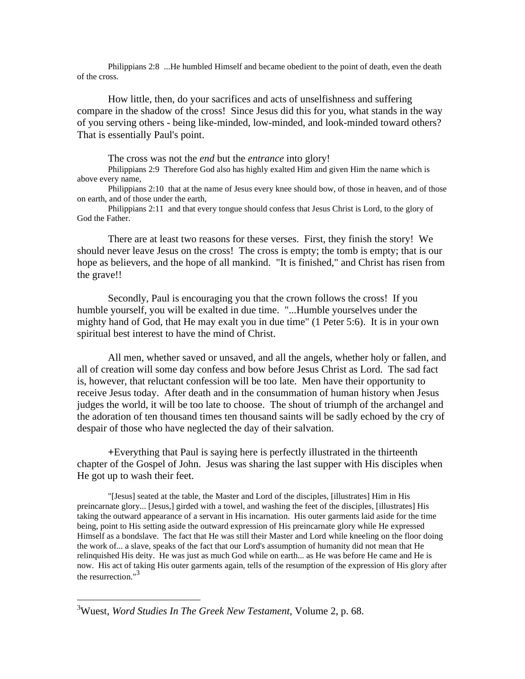Philippians 2:8 ...He humbled Himself and became obedient to the point of death, even the death of the cross.

How little, then, do your sacrifices and acts of unselfishness and suffering compare in the shadow of the cross! Since Jesus did this for you, what stands in the way of you serving others - being like-minded, low-minded, and look-minded toward others? That is essentially Paul's point.

The cross was not the *end* but the *entrance* into glory!

Philippians 2:9 Therefore God also has highly exalted Him and given Him the name which is above every name,

Philippians 2:10 that at the name of Jesus every knee should bow, of those in heaven, and of those on earth, and of those under the earth,

Philippians 2:11 and that every tongue should confess that Jesus Christ is Lord, to the glory of God the Father.

There are at least two reasons for these verses. First, they finish the story! We should never leave Jesus on the cross! The cross is empty; the tomb is empty; that is our hope as believers, and the hope of all mankind. "It is finished," and Christ has risen from the grave!!

Secondly, Paul is encouraging you that the crown follows the cross! If you humble yourself, you will be exalted in due time. "...Humble yourselves under the mighty hand of God, that He may exalt you in due time" (1 Peter 5:6). It is in your own spiritual best interest to have the mind of Christ.

All men, whether saved or unsaved, and all the angels, whether holy or fallen, and all of creation will some day confess and bow before Jesus Christ as Lord. The sad fact is, however, that reluctant confession will be too late. Men have their opportunity to receive Jesus today. After death and in the consummation of human history when Jesus judges the world, it will be too late to choose. The shout of triumph of the archangel and the adoration of ten thousand times ten thousand saints will be sadly echoed by the cry of despair of those who have neglected the day of their salvation.

+Everything that Paul is saying here is perfectly illustrated in the thirteenth chapter of the Gospel of John. Jesus was sharing the last supper with His disciples when He got up to wash their feet.

"[Jesus] seated at the table, the Master and Lord of the disciples, [illustrates] Him in His preincarnate glory... [Jesus,] girded with a towel, and washing the feet of the disciples, [illustrates] His taking the outward appearance of a servant in His incarnation. His outer garments laid aside for the time being, point to His setting aside the outward expression of His preincarnate glory while He expressed Himself as a bondslave. The fact that He was still their Master and Lord while kneeling on the floor doing the work of... a slave, speaks of the fact that our Lord's assumption of humanity did not mean that He relinquished His deity. He was just as much God while on earth... as He was before He came and He is now. His act of taking His outer garments again, tells of the resumption of the expression of His glory after the resurrection."<sup>3</sup>

l

<sup>3</sup> Wuest, *Word Studies In The Greek New Testament*, Volume 2, p. 68.